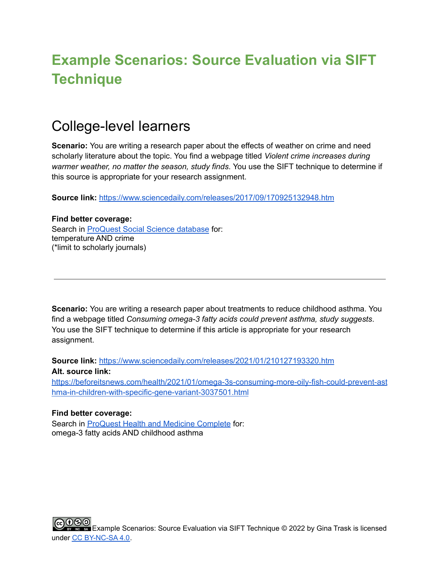# **Example Scenarios: Source Evaluation via SIFT Technique**

### College-level learners

**Scenario:** You are writing a research paper about the effects of weather on crime and need scholarly literature about the topic. You find a webpage titled *Violent crime increases during warmer weather, no matter the season, study finds*. You use the SIFT technique to determine if this source is appropriate for your research assignment.

**Source link:** <https://www.sciencedaily.com/releases/2017/09/170925132948.htm>

#### **Find better coverage:**

Search in [ProQuest](https://www.proquest.com/socscijournals/advanced?accountid=28089) Social Science database for: temperature AND crime (\*limit to scholarly journals)

**Scenario:** You are writing a research paper about treatments to reduce childhood asthma. You find a webpage titled *Consuming omega-3 fatty acids could prevent asthma, study suggests*. You use the SIFT technique to determine if this article is appropriate for your research assignment.

**Source link:** <https://www.sciencedaily.com/releases/2021/01/210127193320.htm> **Alt. source link:**

[https://beforeitsnews.com/health/2021/01/omega-3s-consuming-more-oily-fish-could-prevent-ast](https://beforeitsnews.com/health/2021/01/omega-3s-consuming-more-oily-fish-could-prevent-asthma-in-children-with-specific-gene-variant-3037501.html) [hma-in-children-with-specific-gene-variant-3037501.html](https://beforeitsnews.com/health/2021/01/omega-3s-consuming-more-oily-fish-could-prevent-asthma-in-children-with-specific-gene-variant-3037501.html)

#### **Find better coverage:**

Search in ProQuest Health and Medicine [Complete](https://www.proquest.com/healthcomplete/advanced?accountid=28089) for: omega-3 fatty acids AND childhood asthma